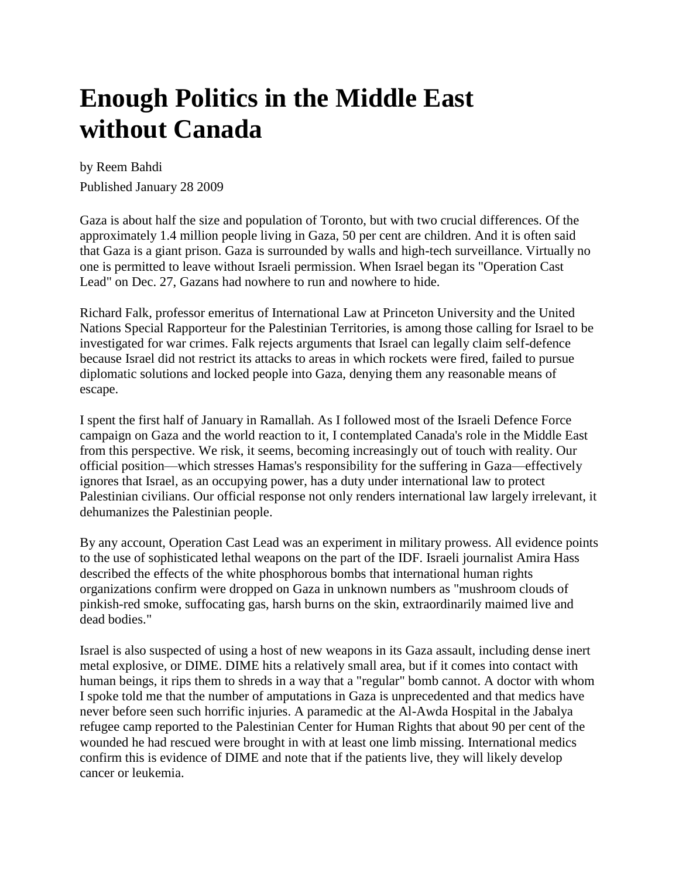## **Enough Politics in the Middle East without Canada**

by Reem Bahdi Published January 28 2009

Gaza is about half the size and population of Toronto, but with two crucial differences. Of the approximately 1.4 million people living in Gaza, 50 per cent are children. And it is often said that Gaza is a giant prison. Gaza is surrounded by walls and high-tech surveillance. Virtually no one is permitted to leave without Israeli permission. When Israel began its "Operation Cast Lead" on Dec. 27, Gazans had nowhere to run and nowhere to hide.

Richard Falk, professor emeritus of International Law at Princeton University and the United Nations Special Rapporteur for the Palestinian Territories, is among those calling for Israel to be investigated for war crimes. Falk rejects arguments that Israel can legally claim self-defence because Israel did not restrict its attacks to areas in which rockets were fired, failed to pursue diplomatic solutions and locked people into Gaza, denying them any reasonable means of escape.

I spent the first half of January in Ramallah. As I followed most of the Israeli Defence Force campaign on Gaza and the world reaction to it, I contemplated Canada's role in the Middle East from this perspective. We risk, it seems, becoming increasingly out of touch with reality. Our official position—which stresses Hamas's responsibility for the suffering in Gaza—effectively ignores that Israel, as an occupying power, has a duty under international law to protect Palestinian civilians. Our official response not only renders international law largely irrelevant, it dehumanizes the Palestinian people.

By any account, Operation Cast Lead was an experiment in military prowess. All evidence points to the use of sophisticated lethal weapons on the part of the IDF. Israeli journalist Amira Hass described the effects of the white phosphorous bombs that international human rights organizations confirm were dropped on Gaza in unknown numbers as "mushroom clouds of pinkish-red smoke, suffocating gas, harsh burns on the skin, extraordinarily maimed live and dead bodies."

Israel is also suspected of using a host of new weapons in its Gaza assault, including dense inert metal explosive, or DIME. DIME hits a relatively small area, but if it comes into contact with human beings, it rips them to shreds in a way that a "regular" bomb cannot. A doctor with whom I spoke told me that the number of amputations in Gaza is unprecedented and that medics have never before seen such horrific injuries. A paramedic at the Al-Awda Hospital in the Jabalya refugee camp reported to the Palestinian Center for Human Rights that about 90 per cent of the wounded he had rescued were brought in with at least one limb missing. International medics confirm this is evidence of DIME and note that if the patients live, they will likely develop cancer or leukemia.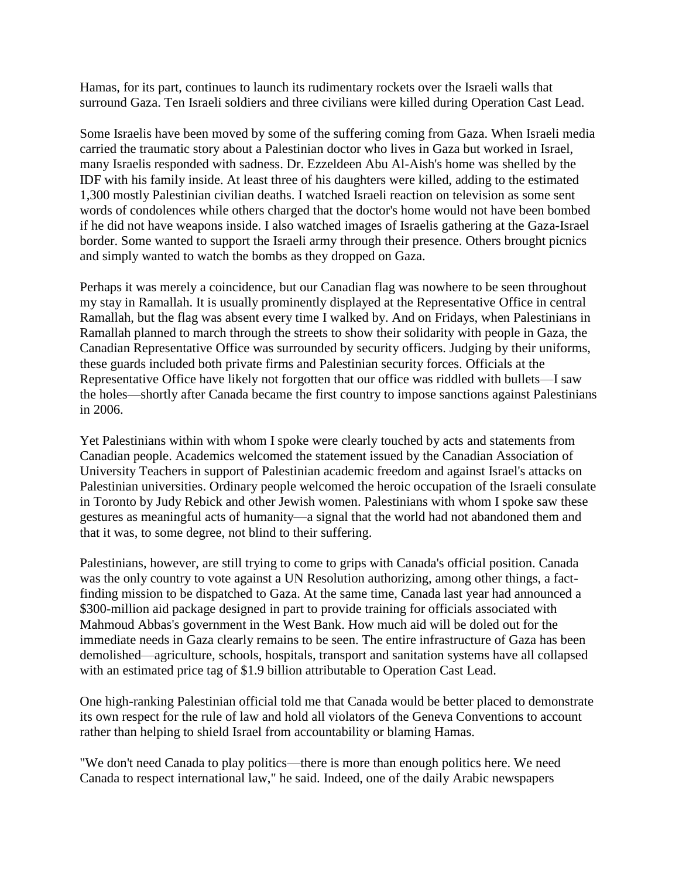Hamas, for its part, continues to launch its rudimentary rockets over the Israeli walls that surround Gaza. Ten Israeli soldiers and three civilians were killed during Operation Cast Lead.

Some Israelis have been moved by some of the suffering coming from Gaza. When Israeli media carried the traumatic story about a Palestinian doctor who lives in Gaza but worked in Israel, many Israelis responded with sadness. Dr. Ezzeldeen Abu Al-Aish's home was shelled by the IDF with his family inside. At least three of his daughters were killed, adding to the estimated 1,300 mostly Palestinian civilian deaths. I watched Israeli reaction on television as some sent words of condolences while others charged that the doctor's home would not have been bombed if he did not have weapons inside. I also watched images of Israelis gathering at the Gaza-Israel border. Some wanted to support the Israeli army through their presence. Others brought picnics and simply wanted to watch the bombs as they dropped on Gaza.

Perhaps it was merely a coincidence, but our Canadian flag was nowhere to be seen throughout my stay in Ramallah. It is usually prominently displayed at the Representative Office in central Ramallah, but the flag was absent every time I walked by. And on Fridays, when Palestinians in Ramallah planned to march through the streets to show their solidarity with people in Gaza, the Canadian Representative Office was surrounded by security officers. Judging by their uniforms, these guards included both private firms and Palestinian security forces. Officials at the Representative Office have likely not forgotten that our office was riddled with bullets—I saw the holes—shortly after Canada became the first country to impose sanctions against Palestinians in 2006.

Yet Palestinians within with whom I spoke were clearly touched by acts and statements from Canadian people. Academics welcomed the statement issued by the Canadian Association of University Teachers in support of Palestinian academic freedom and against Israel's attacks on Palestinian universities. Ordinary people welcomed the heroic occupation of the Israeli consulate in Toronto by Judy Rebick and other Jewish women. Palestinians with whom I spoke saw these gestures as meaningful acts of humanity—a signal that the world had not abandoned them and that it was, to some degree, not blind to their suffering.

Palestinians, however, are still trying to come to grips with Canada's official position. Canada was the only country to vote against a UN Resolution authorizing, among other things, a factfinding mission to be dispatched to Gaza. At the same time, Canada last year had announced a \$300-million aid package designed in part to provide training for officials associated with Mahmoud Abbas's government in the West Bank. How much aid will be doled out for the immediate needs in Gaza clearly remains to be seen. The entire infrastructure of Gaza has been demolished—agriculture, schools, hospitals, transport and sanitation systems have all collapsed with an estimated price tag of \$1.9 billion attributable to Operation Cast Lead.

One high-ranking Palestinian official told me that Canada would be better placed to demonstrate its own respect for the rule of law and hold all violators of the Geneva Conventions to account rather than helping to shield Israel from accountability or blaming Hamas.

"We don't need Canada to play politics—there is more than enough politics here. We need Canada to respect international law," he said. Indeed, one of the daily Arabic newspapers